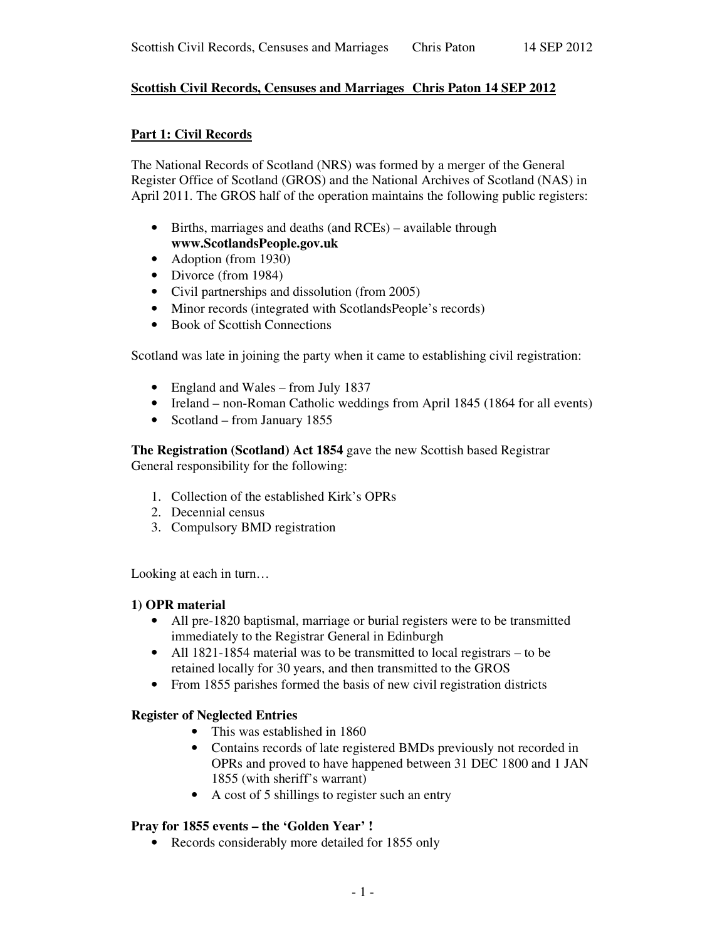# **Scottish Civil Records, Censuses and Marriages Chris Paton 14 SEP 2012**

## **Part 1: Civil Records**

The National Records of Scotland (NRS) was formed by a merger of the General Register Office of Scotland (GROS) and the National Archives of Scotland (NAS) in April 2011. The GROS half of the operation maintains the following public registers:

- Births, marriages and deaths (and RCEs) available through **www.ScotlandsPeople.gov.uk**
- Adoption (from 1930)
- Divorce (from 1984)
- Civil partnerships and dissolution (from 2005)
- Minor records (integrated with ScotlandsPeople's records)
- Book of Scottish Connections

Scotland was late in joining the party when it came to establishing civil registration:

- England and Wales from July 1837
- Ireland non-Roman Catholic weddings from April 1845 (1864 for all events)
- Scotland from January 1855

**The Registration (Scotland) Act 1854** gave the new Scottish based Registrar General responsibility for the following:

- 1. Collection of the established Kirk's OPRs
- 2. Decennial census
- 3. Compulsory BMD registration

Looking at each in turn…

#### **1) OPR material**

- All pre-1820 baptismal, marriage or burial registers were to be transmitted immediately to the Registrar General in Edinburgh
- All 1821-1854 material was to be transmitted to local registrars to be retained locally for 30 years, and then transmitted to the GROS
- From 1855 parishes formed the basis of new civil registration districts

#### **Register of Neglected Entries**

- This was established in 1860
- Contains records of late registered BMDs previously not recorded in OPRs and proved to have happened between 31 DEC 1800 and 1 JAN 1855 (with sheriff's warrant)
- A cost of 5 shillings to register such an entry

#### **Pray for 1855 events – the 'Golden Year' !**

• Records considerably more detailed for 1855 only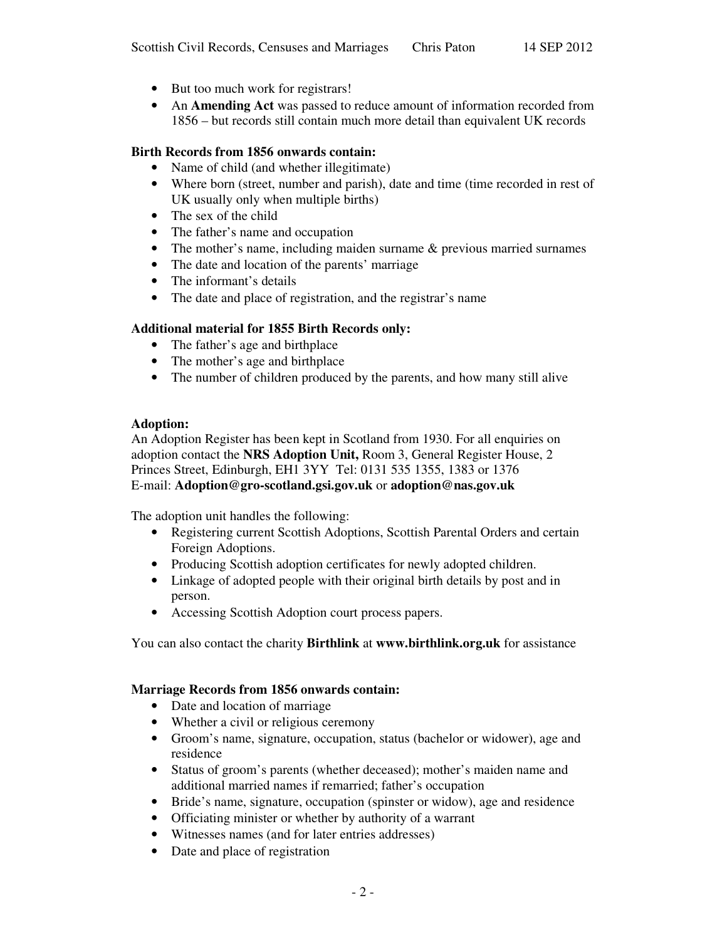- But too much work for registrars!
- An **Amending Act** was passed to reduce amount of information recorded from 1856 – but records still contain much more detail than equivalent UK records

## **Birth Records from 1856 onwards contain:**

- Name of child (and whether illegitimate)
- Where born (street, number and parish), date and time (time recorded in rest of UK usually only when multiple births)
- The sex of the child
- The father's name and occupation
- The mother's name, including maiden surname & previous married surnames
- The date and location of the parents' marriage
- The informant's details
- The date and place of registration, and the registrar's name

#### **Additional material for 1855 Birth Records only:**

- The father's age and birthplace
- The mother's age and birthplace
- The number of children produced by the parents, and how many still alive

#### **Adoption:**

An Adoption Register has been kept in Scotland from 1930. For all enquiries on adoption contact the **NRS Adoption Unit,** Room 3, General Register House, 2 Princes Street, Edinburgh, EH1 3YY Tel: 0131 535 1355, 1383 or 1376 E-mail: **Adoption@gro-scotland.gsi.gov.uk** or **adoption@nas.gov.uk**

The adoption unit handles the following:

- Registering current Scottish Adoptions, Scottish Parental Orders and certain Foreign Adoptions.
- Producing Scottish adoption certificates for newly adopted children.
- Linkage of adopted people with their original birth details by post and in person.
- Accessing Scottish Adoption court process papers.

You can also contact the charity **Birthlink** at **www.birthlink.org.uk** for assistance

#### **Marriage Records from 1856 onwards contain:**

- Date and location of marriage
- Whether a civil or religious ceremony
- Groom's name, signature, occupation, status (bachelor or widower), age and residence
- Status of groom's parents (whether deceased); mother's maiden name and additional married names if remarried; father's occupation
- Bride's name, signature, occupation (spinster or widow), age and residence
- Officiating minister or whether by authority of a warrant
- Witnesses names (and for later entries addresses)
- Date and place of registration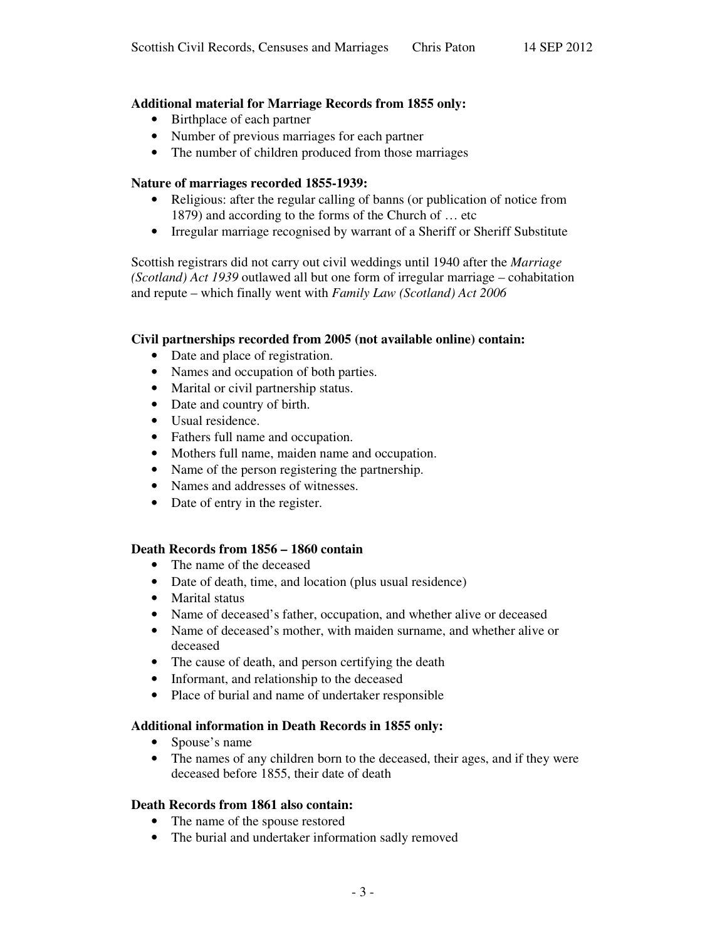# **Additional material for Marriage Records from 1855 only:**

- Birthplace of each partner
- Number of previous marriages for each partner
- The number of children produced from those marriages

# **Nature of marriages recorded 1855-1939:**

- Religious: after the regular calling of banns (or publication of notice from 1879) and according to the forms of the Church of … etc
- Irregular marriage recognised by warrant of a Sheriff or Sheriff Substitute

Scottish registrars did not carry out civil weddings until 1940 after the *Marriage (Scotland) Act 1939* outlawed all but one form of irregular marriage – cohabitation and repute – which finally went with *Family Law (Scotland) Act 2006*

# **Civil partnerships recorded from 2005 (not available online) contain:**

- Date and place of registration.
- Names and occupation of both parties.
- Marital or civil partnership status.
- Date and country of birth.
- Usual residence.
- Fathers full name and occupation.
- Mothers full name, maiden name and occupation.
- Name of the person registering the partnership.
- Names and addresses of witnesses.
- Date of entry in the register.

#### **Death Records from 1856 – 1860 contain**

- The name of the deceased
- Date of death, time, and location (plus usual residence)
- Marital status
- Name of deceased's father, occupation, and whether alive or deceased
- Name of deceased's mother, with maiden surname, and whether alive or deceased
- The cause of death, and person certifying the death
- Informant, and relationship to the deceased
- Place of burial and name of undertaker responsible

#### **Additional information in Death Records in 1855 only:**

- Spouse's name
- The names of any children born to the deceased, their ages, and if they were deceased before 1855, their date of death

#### **Death Records from 1861 also contain:**

- The name of the spouse restored
- The burial and undertaker information sadly removed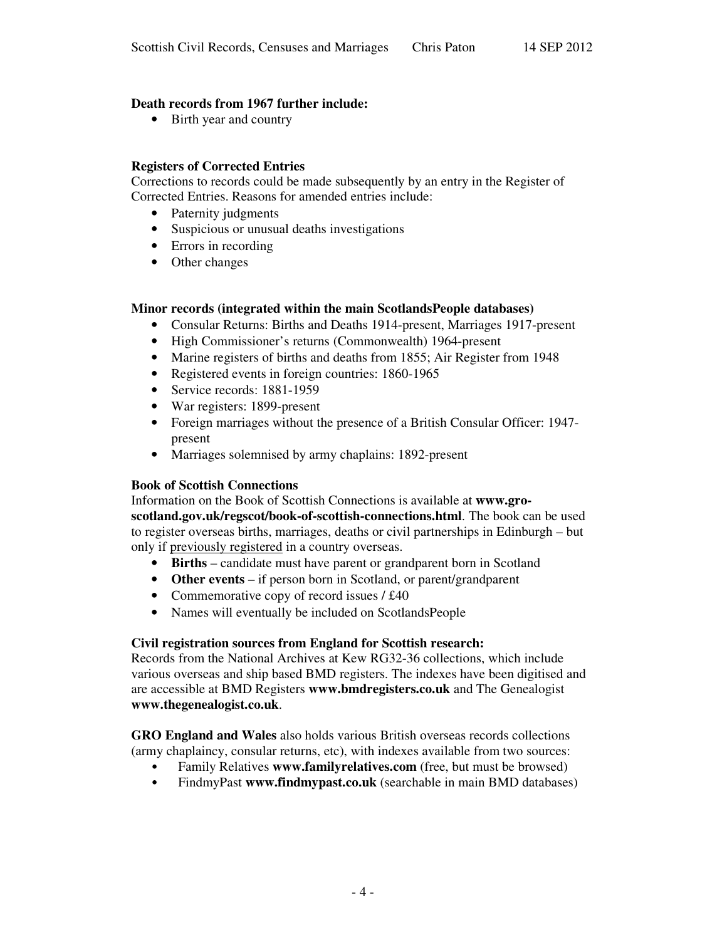# **Death records from 1967 further include:**

• Birth year and country

# **Registers of Corrected Entries**

Corrections to records could be made subsequently by an entry in the Register of Corrected Entries. Reasons for amended entries include:

- Paternity judgments
- Suspicious or unusual deaths investigations
- Errors in recording
- Other changes

#### **Minor records (integrated within the main ScotlandsPeople databases)**

- Consular Returns: Births and Deaths 1914-present, Marriages 1917-present
- High Commissioner's returns (Commonwealth) 1964-present
- Marine registers of births and deaths from 1855; Air Register from 1948
- Registered events in foreign countries: 1860-1965
- Service records: 1881-1959
- War registers: 1899-present
- Foreign marriages without the presence of a British Consular Officer: 1947present
- Marriages solemnised by army chaplains: 1892-present

#### **Book of Scottish Connections**

Information on the Book of Scottish Connections is available at **www.groscotland.gov.uk/regscot/book-of-scottish-connections.html**. The book can be used to register overseas births, marriages, deaths or civil partnerships in Edinburgh – but only if previously registered in a country overseas.

- **Births** candidate must have parent or grandparent born in Scotland
- **Other events** if person born in Scotland, or parent/grandparent
- Commemorative copy of record issues / £40
- Names will eventually be included on ScotlandsPeople

#### **Civil registration sources from England for Scottish research:**

Records from the National Archives at Kew RG32-36 collections, which include various overseas and ship based BMD registers. The indexes have been digitised and are accessible at BMD Registers **www.bmdregisters.co.uk** and The Genealogist **www.thegenealogist.co.uk**.

**GRO England and Wales** also holds various British overseas records collections (army chaplaincy, consular returns, etc), with indexes available from two sources:

- Family Relatives **www.familyrelatives.com** (free, but must be browsed)
- FindmyPast **www.findmypast.co.uk** (searchable in main BMD databases)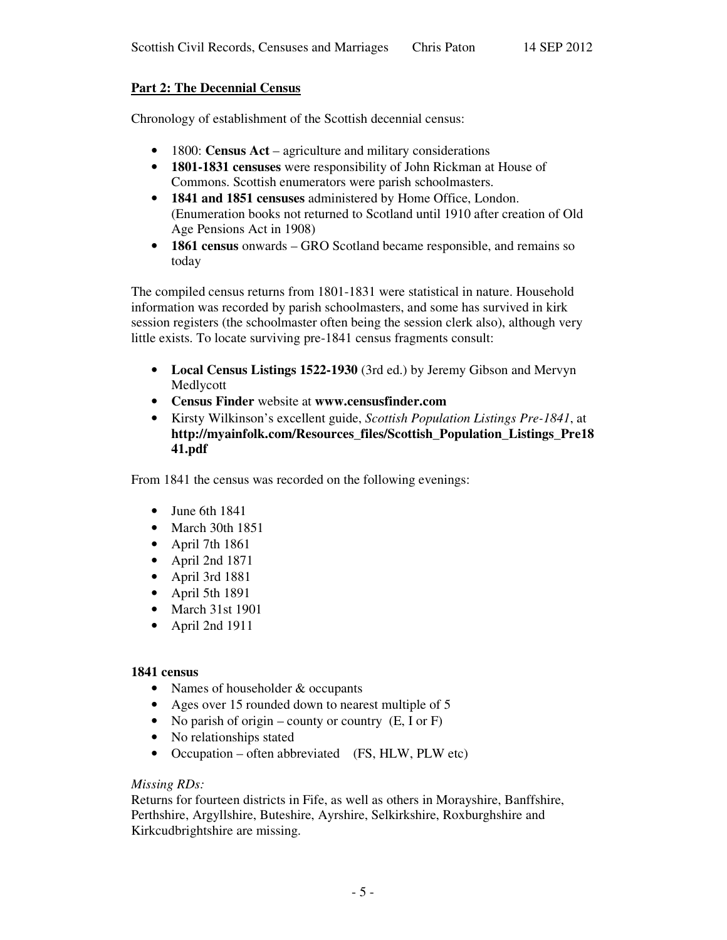# **Part 2: The Decennial Census**

Chronology of establishment of the Scottish decennial census:

- 1800: **Census Act** agriculture and military considerations
- **1801-1831 censuses** were responsibility of John Rickman at House of Commons. Scottish enumerators were parish schoolmasters.
- **1841 and 1851 censuses** administered by Home Office, London. (Enumeration books not returned to Scotland until 1910 after creation of Old Age Pensions Act in 1908)
- **1861 census** onwards GRO Scotland became responsible, and remains so today

The compiled census returns from 1801-1831 were statistical in nature. Household information was recorded by parish schoolmasters, and some has survived in kirk session registers (the schoolmaster often being the session clerk also), although very little exists. To locate surviving pre-1841 census fragments consult:

- **Local Census Listings 1522-1930** (3rd ed.) by Jeremy Gibson and Mervyn Medlycott
- **Census Finder** website at **www.censusfinder.com**
- Kirsty Wilkinson's excellent guide, *Scottish Population Listings Pre-1841*, at **http://myainfolk.com/Resources\_files/Scottish\_Population\_Listings\_Pre18 41.pdf**

From 1841 the census was recorded on the following evenings:

- June 6th 1841
- March 30th 1851
- April 7th 1861
- April 2nd 1871
- April 3rd 1881
- April 5th 1891
- March 31st 1901
- April 2nd 1911

# **1841 census**

- Names of householder & occupants
- Ages over 15 rounded down to nearest multiple of 5
- No parish of origin county or country  $(E, I \text{ or } F)$
- No relationships stated
- Occupation often abbreviated (FS, HLW, PLW etc)

#### *Missing RDs:*

Returns for fourteen districts in Fife, as well as others in Morayshire, Banffshire, Perthshire, Argyllshire, Buteshire, Ayrshire, Selkirkshire, Roxburghshire and Kirkcudbrightshire are missing.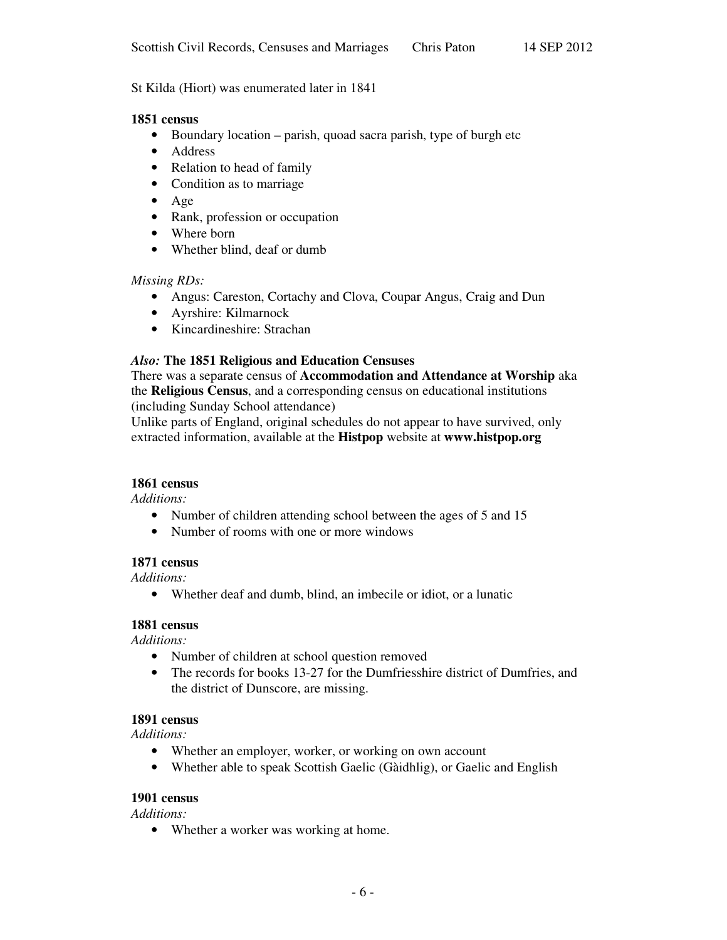# St Kilda (Hiort) was enumerated later in 1841

#### **1851 census**

- Boundary location parish, quoad sacra parish, type of burgh etc
- Address
- Relation to head of family
- Condition as to marriage
- Age
- Rank, profession or occupation
- Where born
- Whether blind, deaf or dumb

#### *Missing RDs:*

- Angus: Careston, Cortachy and Clova, Coupar Angus, Craig and Dun
- Ayrshire: Kilmarnock
- Kincardineshire: Strachan

# *Also:* **The 1851 Religious and Education Censuses**

There was a separate census of **Accommodation and Attendance at Worship** aka the **Religious Census**, and a corresponding census on educational institutions (including Sunday School attendance)

Unlike parts of England, original schedules do not appear to have survived, only extracted information, available at the **Histpop** website at **www.histpop.org**

#### **1861 census**

*Additions:*

- Number of children attending school between the ages of 5 and 15
- Number of rooms with one or more windows

#### **1871 census**

*Additions:*

• Whether deaf and dumb, blind, an imbecile or idiot, or a lunatic

#### **1881 census**

*Additions:*

- Number of children at school question removed
- The records for books 13-27 for the Dumfriesshire district of Dumfries, and the district of Dunscore, are missing.

#### **1891 census**

*Additions:*

- Whether an employer, worker, or working on own account
- Whether able to speak Scottish Gaelic (Gàidhlig), or Gaelic and English

#### **1901 census**

*Additions:*

• Whether a worker was working at home.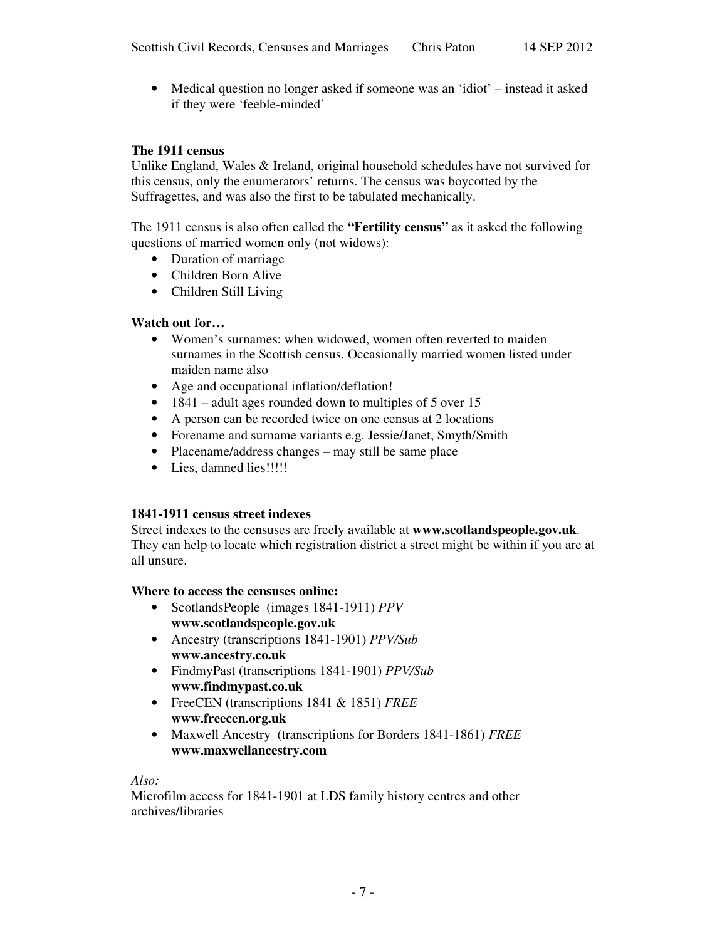• Medical question no longer asked if someone was an 'idiot' – instead it asked if they were 'feeble-minded'

## **The 1911 census**

Unlike England, Wales & Ireland, original household schedules have not survived for this census, only the enumerators' returns. The census was boycotted by the Suffragettes, and was also the first to be tabulated mechanically.

The 1911 census is also often called the **"Fertility census"** as it asked the following questions of married women only (not widows):

- Duration of marriage
- Children Born Alive
- Children Still Living

#### **Watch out for…**

- Women's surnames: when widowed, women often reverted to maiden surnames in the Scottish census. Occasionally married women listed under maiden name also
- Age and occupational inflation/deflation!
- 1841 adult ages rounded down to multiples of 5 over 15
- A person can be recorded twice on one census at 2 locations
- Forename and surname variants e.g. Jessie/Janet, Smyth/Smith
- Placename/address changes may still be same place
- Lies, damned lies!!!!!

#### **1841-1911 census street indexes**

Street indexes to the censuses are freely available at **www.scotlandspeople.gov.uk**. They can help to locate which registration district a street might be within if you are at all unsure.

#### **Where to access the censuses online:**

- ScotlandsPeople (images 1841-1911) *PPV* **www.scotlandspeople.gov.uk**
- Ancestry (transcriptions 1841-1901) *PPV/Sub* **www.ancestry.co.uk**
- FindmyPast (transcriptions 1841-1901) *PPV/Sub* **www.findmypast.co.uk**
- FreeCEN (transcriptions 1841 & 1851) *FREE* **www.freecen.org.uk**
- Maxwell Ancestry (transcriptions for Borders 1841-1861) *FREE* **www.maxwellancestry.com**

*Also:*

Microfilm access for 1841-1901 at LDS family history centres and other archives/libraries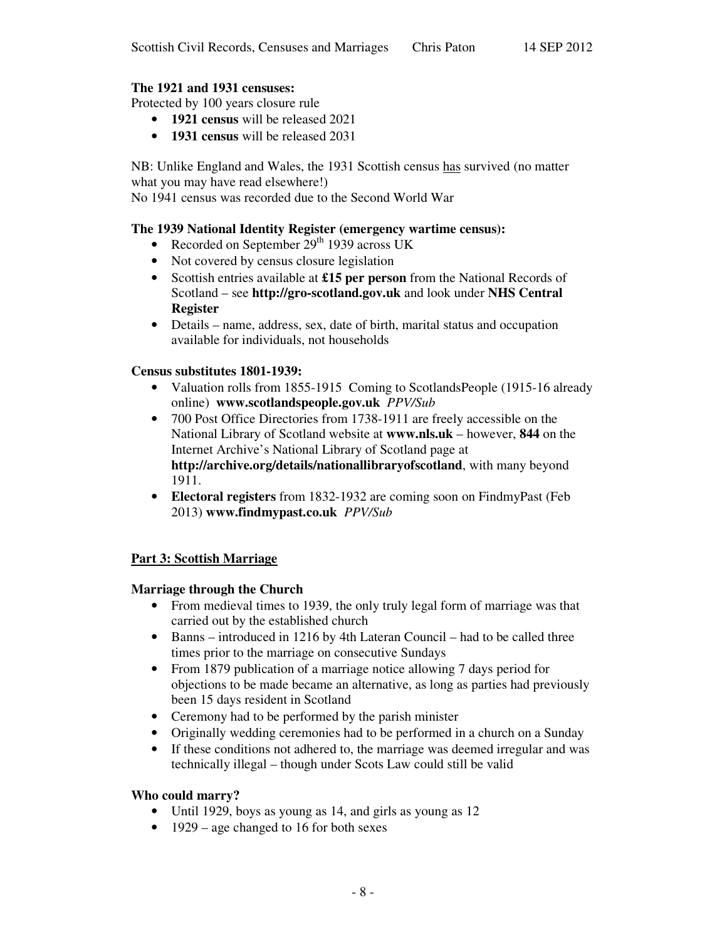# **The 1921 and 1931 censuses:**

Protected by 100 years closure rule

- **1921 census** will be released 2021
- **1931 census** will be released 2031

NB: Unlike England and Wales, the 1931 Scottish census has survived (no matter what you may have read elsewhere!)

No 1941 census was recorded due to the Second World War

# **The 1939 National Identity Register (emergency wartime census):**

- Recorded on September 29<sup>th</sup> 1939 across UK
- Not covered by census closure legislation
- Scottish entries available at **£15 per person** from the National Records of Scotland – see **http://gro-scotland.gov.uk** and look under **NHS Central Register**
- Details name, address, sex, date of birth, marital status and occupation available for individuals, not households

# **Census substitutes 1801-1939:**

- Valuation rolls from 1855-1915 Coming to ScotlandsPeople (1915-16 already online) **www.scotlandspeople.gov.uk** *PPV/Sub*
- 700 Post Office Directories from 1738-1911 are freely accessible on the National Library of Scotland website at **www.nls.uk** – however, **844** on the Internet Archive's National Library of Scotland page at **http://archive.org/details/nationallibraryofscotland**, with many beyond 1911.
- **Electoral registers** from 1832-1932 are coming soon on FindmyPast (Feb 2013) **www.findmypast.co.uk** *PPV/Sub*

# **Part 3: Scottish Marriage**

#### **Marriage through the Church**

- From medieval times to 1939, the only truly legal form of marriage was that carried out by the established church
- Banns introduced in 1216 by 4th Lateran Council had to be called three times prior to the marriage on consecutive Sundays
- From 1879 publication of a marriage notice allowing 7 days period for objections to be made became an alternative, as long as parties had previously been 15 days resident in Scotland
- Ceremony had to be performed by the parish minister
- Originally wedding ceremonies had to be performed in a church on a Sunday
- If these conditions not adhered to, the marriage was deemed irregular and was technically illegal – though under Scots Law could still be valid

#### **Who could marry?**

- Until 1929, boys as young as 14, and girls as young as 12
- 1929 age changed to 16 for both sexes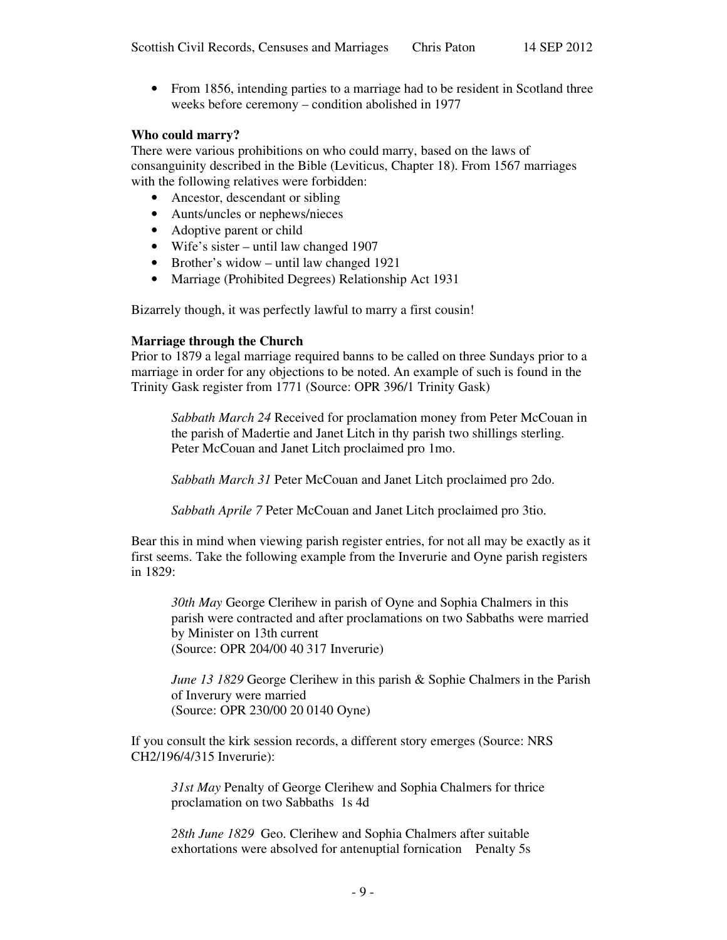• From 1856, intending parties to a marriage had to be resident in Scotland three weeks before ceremony – condition abolished in 1977

#### **Who could marry?**

There were various prohibitions on who could marry, based on the laws of consanguinity described in the Bible (Leviticus, Chapter 18). From 1567 marriages with the following relatives were forbidden:

- Ancestor, descendant or sibling
- Aunts/uncles or nephews/nieces
- Adoptive parent or child
- Wife's sister until law changed 1907
- Brother's widow until law changed 1921
- Marriage (Prohibited Degrees) Relationship Act 1931

Bizarrely though, it was perfectly lawful to marry a first cousin!

#### **Marriage through the Church**

Prior to 1879 a legal marriage required banns to be called on three Sundays prior to a marriage in order for any objections to be noted. An example of such is found in the Trinity Gask register from 1771 (Source: OPR 396/1 Trinity Gask)

*Sabbath March 24* Received for proclamation money from Peter McCouan in the parish of Madertie and Janet Litch in thy parish two shillings sterling. Peter McCouan and Janet Litch proclaimed pro 1mo.

*Sabbath March 31* Peter McCouan and Janet Litch proclaimed pro 2do.

*Sabbath Aprile 7* Peter McCouan and Janet Litch proclaimed pro 3tio.

Bear this in mind when viewing parish register entries, for not all may be exactly as it first seems. Take the following example from the Inverurie and Oyne parish registers in 1829:

*30th May* George Clerihew in parish of Oyne and Sophia Chalmers in this parish were contracted and after proclamations on two Sabbaths were married by Minister on 13th current (Source: OPR 204/00 40 317 Inverurie)

*June 13 1829* George Clerihew in this parish & Sophie Chalmers in the Parish of Inverury were married (Source: OPR 230/00 20 0140 Oyne)

If you consult the kirk session records, a different story emerges (Source: NRS CH2/196/4/315 Inverurie):

*31st May* Penalty of George Clerihew and Sophia Chalmers for thrice proclamation on two Sabbaths 1s 4d

*28th June 1829* Geo. Clerihew and Sophia Chalmers after suitable exhortations were absolved for antenuptial fornication Penalty 5s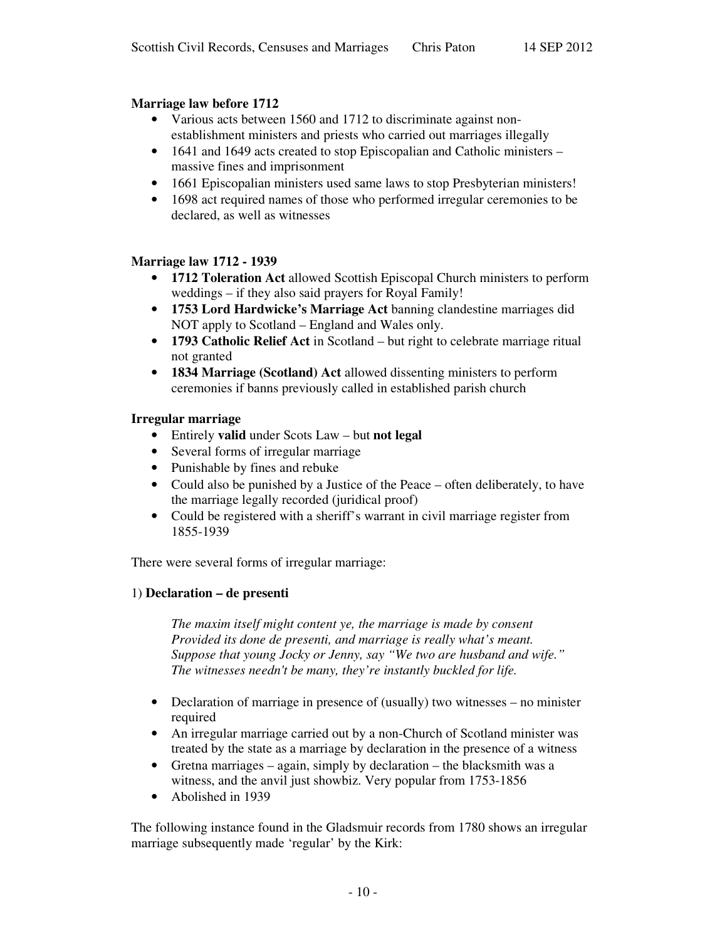# **Marriage law before 1712**

- Various acts between 1560 and 1712 to discriminate against nonestablishment ministers and priests who carried out marriages illegally
- 1641 and 1649 acts created to stop Episcopalian and Catholic ministers massive fines and imprisonment
- 1661 Episcopalian ministers used same laws to stop Presbyterian ministers!
- 1698 act required names of those who performed irregular ceremonies to be declared, as well as witnesses

# **Marriage law 1712 - 1939**

- **1712 Toleration Act** allowed Scottish Episcopal Church ministers to perform weddings – if they also said prayers for Royal Family!
- **1753 Lord Hardwicke's Marriage Act** banning clandestine marriages did NOT apply to Scotland – England and Wales only.
- **1793 Catholic Relief Act** in Scotland but right to celebrate marriage ritual not granted
- **1834 Marriage (Scotland) Act** allowed dissenting ministers to perform ceremonies if banns previously called in established parish church

# **Irregular marriage**

- Entirely **valid** under Scots Law but **not legal**
- Several forms of irregular marriage
- Punishable by fines and rebuke
- Could also be punished by a Justice of the Peace often deliberately, to have the marriage legally recorded (juridical proof)
- Could be registered with a sheriff's warrant in civil marriage register from 1855-1939

There were several forms of irregular marriage:

# 1) **Declaration – de presenti**

*The maxim itself might content ye, the marriage is made by consent Provided its done de presenti, and marriage is really what's meant. Suppose that young Jocky or Jenny, say "We two are husband and wife." The witnesses needn't be many, they're instantly buckled for life.*

- Declaration of marriage in presence of (usually) two witnesses no minister required
- An irregular marriage carried out by a non-Church of Scotland minister was treated by the state as a marriage by declaration in the presence of a witness
- Gretna marriages again, simply by declaration the blacksmith was a witness, and the anvil just showbiz. Very popular from 1753-1856
- Abolished in 1939

The following instance found in the Gladsmuir records from 1780 shows an irregular marriage subsequently made 'regular' by the Kirk: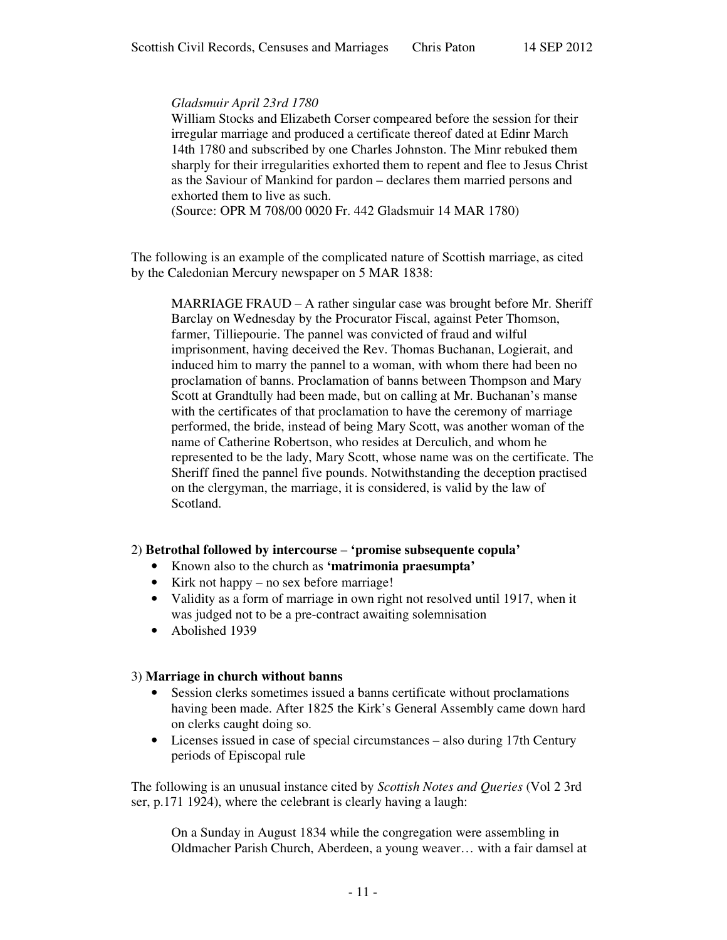## *Gladsmuir April 23rd 1780*

William Stocks and Elizabeth Corser compeared before the session for their irregular marriage and produced a certificate thereof dated at Edinr March 14th 1780 and subscribed by one Charles Johnston. The Minr rebuked them sharply for their irregularities exhorted them to repent and flee to Jesus Christ as the Saviour of Mankind for pardon – declares them married persons and exhorted them to live as such.

(Source: OPR M 708/00 0020 Fr. 442 Gladsmuir 14 MAR 1780)

The following is an example of the complicated nature of Scottish marriage, as cited by the Caledonian Mercury newspaper on 5 MAR 1838:

MARRIAGE FRAUD – A rather singular case was brought before Mr. Sheriff Barclay on Wednesday by the Procurator Fiscal, against Peter Thomson, farmer, Tilliepourie. The pannel was convicted of fraud and wilful imprisonment, having deceived the Rev. Thomas Buchanan, Logierait, and induced him to marry the pannel to a woman, with whom there had been no proclamation of banns. Proclamation of banns between Thompson and Mary Scott at Grandtully had been made, but on calling at Mr. Buchanan's manse with the certificates of that proclamation to have the ceremony of marriage performed, the bride, instead of being Mary Scott, was another woman of the name of Catherine Robertson, who resides at Derculich, and whom he represented to be the lady, Mary Scott, whose name was on the certificate. The Sheriff fined the pannel five pounds. Notwithstanding the deception practised on the clergyman, the marriage, it is considered, is valid by the law of Scotland.

# 2) **Betrothal followed by intercourse** – **'promise subsequente copula'**

- Known also to the church as **'matrimonia praesumpta'**
- Kirk not happy no sex before marriage!
- Validity as a form of marriage in own right not resolved until 1917, when it was judged not to be a pre-contract awaiting solemnisation
- Abolished 1939

#### 3) **Marriage in church without banns**

- Session clerks sometimes issued a banns certificate without proclamations having been made. After 1825 the Kirk's General Assembly came down hard on clerks caught doing so.
- Licenses issued in case of special circumstances also during 17th Century periods of Episcopal rule

The following is an unusual instance cited by *Scottish Notes and Queries* (Vol 2 3rd ser, p.171 1924), where the celebrant is clearly having a laugh:

On a Sunday in August 1834 while the congregation were assembling in Oldmacher Parish Church, Aberdeen, a young weaver… with a fair damsel at